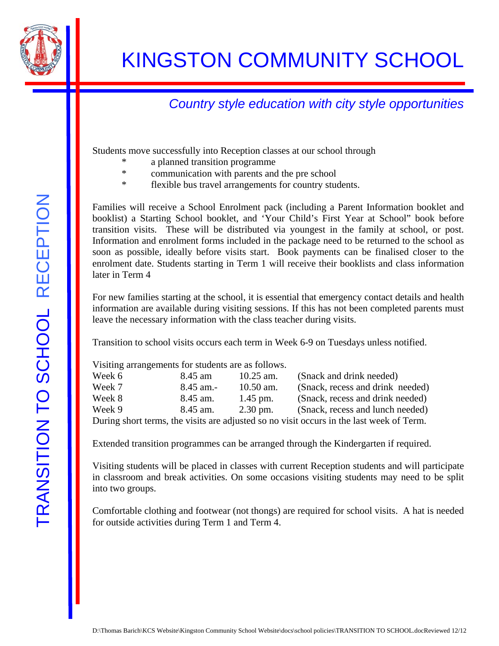

*Country style education with city style opportunities* 

Students move successfully into Reception classes at our school through

- a planned transition programme
- \* communication with parents and the pre school
- \* flexible bus travel arrangements for country students.

Families will receive a School Enrolment pack (including a Parent Information booklet and booklist) a Starting School booklet, and 'Your Child's First Year at School" book before transition visits. These will be distributed via youngest in the family at school, or post. soon as possible, ideally before visits start. Book payments can be finalised closer to the enrolment date. Students starting in Term 1 will receive their booklists and class information later in Term 4 Information and enrolment forms included in the package need to be returned to the school as

For new families starting at the school, it is essential that emergency contact details and health information are available during visiting sessions. If this has not been completed parents must leave the necessary information with the class teacher during visits.

Transition to school visits occurs each term in Week 6-9 on Tuesdays unless notified.

Visiting arrangements for students are as follows.

| Week 6                                                                                   | 8.45 am   | $10.25$ am. | (Snack and drink needed)         |
|------------------------------------------------------------------------------------------|-----------|-------------|----------------------------------|
| Week 7                                                                                   | 8.45 am.- | $10.50$ am. | (Snack, recess and drink needed) |
| Week 8                                                                                   | 8.45 am.  | $1.45$ pm.  | (Snack, recess and drink needed) |
| Week 9                                                                                   | 8.45 am.  | $2.30$ pm.  | (Snack, recess and lunch needed) |
| During short terms, the visits are adjusted so no visit occurs in the last week of Term. |           |             |                                  |

Extended transition programmes can be arranged through the Kindergarten if required.

Visiting students will be placed in classes with current Reception students and will participa te in classroom and break activities. On some occasions visiting students may need to be split into two groups.

Comfortable clothing and footwear (not thongs) are required for school visits. A hat is needed for outside activities during Term 1 and Term 4.